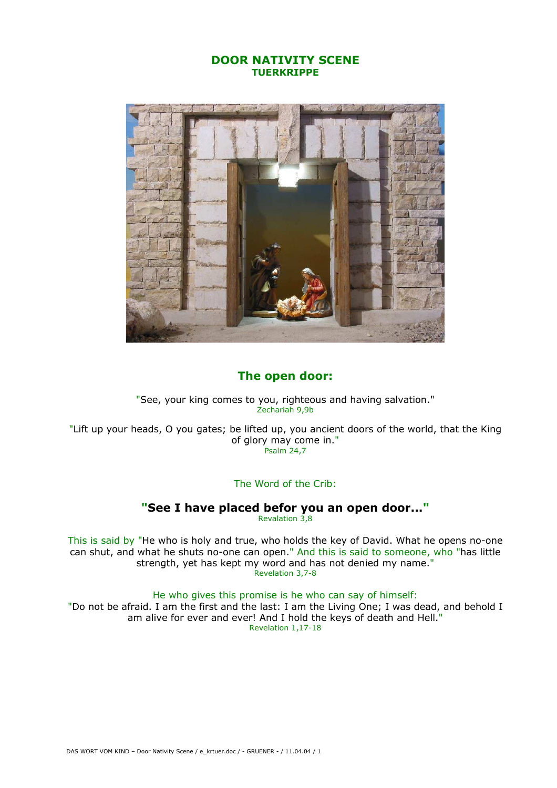## DOOR NATIVITY SCENE **TUERKRIPPE**



## The open door:

"See, your king comes to you, righteous and having salvation." Zechariah 9,9b

"Lift up your heads, O you gates; be lifted up, you ancient doors of the world, that the King of glory may come in." Psalm 24,7

## The Word of the Crib:

## "See I have placed befor you an open door..."

Revalation 3,8

This is said by "He who is holy and true, who holds the key of David. What he opens no-one can shut, and what he shuts no-one can open." And this is said to someone, who "has little strength, yet has kept my word and has not denied my name." Revelation 3,7-8

He who gives this promise is he who can say of himself:

"Do not be afraid. I am the first and the last: I am the Living One; I was dead, and behold I am alive for ever and ever! And I hold the keys of death and Hell." Revelation 1,17-18